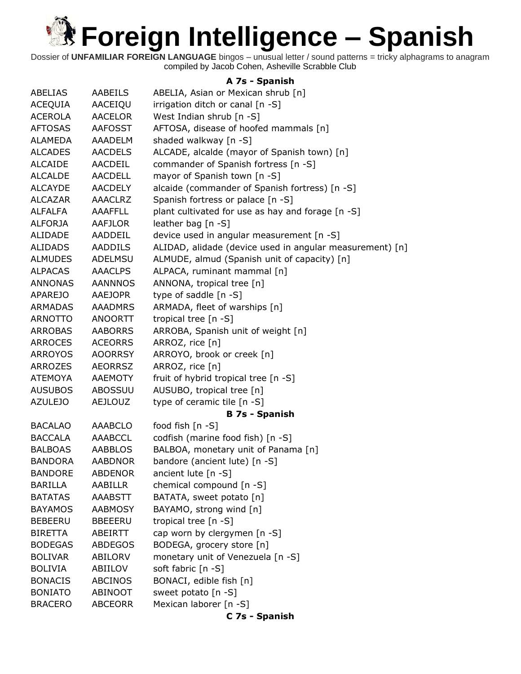Dossier of **UNFAMILIAR FOREIGN LANGUAGE** bingos – unusual letter / sound patterns = tricky alphagrams to anagram compiled by Jacob Cohen, Asheville Scrabble Club

#### **A 7s - Spanish**

| ABELIAS        | AABEILS        | ABELIA, Asian or Mexican shrub [n]                       |
|----------------|----------------|----------------------------------------------------------|
| ACEQUIA        | AACEIQU        | irrigation ditch or canal [n -S]                         |
| <b>ACEROLA</b> | <b>AACELOR</b> | West Indian shrub [n -S]                                 |
| <b>AFTOSAS</b> | <b>AAFOSST</b> | AFTOSA, disease of hoofed mammals [n]                    |
| <b>ALAMEDA</b> | AAADELM        | shaded walkway [n -S]                                    |
| <b>ALCADES</b> | <b>AACDELS</b> | ALCADE, alcalde (mayor of Spanish town) [n]              |
| <b>ALCAIDE</b> | AACDEIL        | commander of Spanish fortress [n -S]                     |
| <b>ALCALDE</b> | <b>AACDELL</b> | mayor of Spanish town [n -S]                             |
| <b>ALCAYDE</b> | <b>AACDELY</b> | alcaide (commander of Spanish fortress) [n -S]           |
| <b>ALCAZAR</b> | <b>AAACLRZ</b> | Spanish fortress or palace [n -S]                        |
| ALFALFA        | <b>AAAFFLL</b> | plant cultivated for use as hay and forage [n -S]        |
| <b>ALFORJA</b> | AAFJLOR        | leather bag [n -S]                                       |
| <b>ALIDADE</b> | AADDEIL        | device used in angular measurement [n -S]                |
| <b>ALIDADS</b> | AADDILS        | ALIDAD, alidade (device used in angular measurement) [n] |
| <b>ALMUDES</b> | ADELMSU        | ALMUDE, almud (Spanish unit of capacity) [n]             |
| <b>ALPACAS</b> | <b>AAACLPS</b> | ALPACA, ruminant mammal [n]                              |
| <b>ANNONAS</b> | <b>AANNNOS</b> | ANNONA, tropical tree [n]                                |
| <b>APAREJO</b> | AAEJOPR        | type of saddle [n -S]                                    |
| <b>ARMADAS</b> | <b>AAADMRS</b> | ARMADA, fleet of warships [n]                            |
| <b>ARNOTTO</b> | ANOORTT        | tropical tree [n -S]                                     |
| <b>ARROBAS</b> | <b>AABORRS</b> | ARROBA, Spanish unit of weight [n]                       |
| <b>ARROCES</b> | <b>ACEORRS</b> | ARROZ, rice [n]                                          |
| <b>ARROYOS</b> | <b>AOORRSY</b> | ARROYO, brook or creek [n]                               |
| <b>ARROZES</b> | <b>AEORRSZ</b> | ARROZ, rice [n]                                          |
| <b>ATEMOYA</b> | AAEMOTY        | fruit of hybrid tropical tree [n -S]                     |
| <b>AUSUBOS</b> | ABOSSUU        | AUSUBO, tropical tree [n]                                |
| <b>AZULEJO</b> | <b>AEJLOUZ</b> | type of ceramic tile [n -S]                              |
|                |                | <b>B 7s - Spanish</b>                                    |
| <b>BACALAO</b> | <b>AAABCLO</b> | food fish [n -S]                                         |
| <b>BACCALA</b> | <b>AAABCCL</b> | codfish (marine food fish) [n -S]                        |
| <b>BALBOAS</b> | AABBLOS        | BALBOA, monetary unit of Panama [n]                      |
| <b>BANDORA</b> | <b>AABDNOR</b> | bandore (ancient lute) [n -S]                            |
| <b>BANDORE</b> | <b>ABDENOR</b> | ancient lute [n -S]                                      |
| <b>BARILLA</b> | AABILLR        | chemical compound [n -S]                                 |
| <b>BATATAS</b> | <b>AAABSTT</b> | BATATA, sweet potato [n]                                 |
| <b>BAYAMOS</b> | <b>AABMOSY</b> | BAYAMO, strong wind [n]                                  |
| <b>BEBEERU</b> | <b>BBEEERU</b> | tropical tree [n -S]                                     |
| <b>BIRETTA</b> | <b>ABEIRTT</b> | cap worn by clergymen [n -S]                             |
| <b>BODEGAS</b> | <b>ABDEGOS</b> | BODEGA, grocery store [n]                                |
| <b>BOLIVAR</b> | ABILORV        | monetary unit of Venezuela [n -S]                        |
| <b>BOLIVIA</b> | ABIILOV        | soft fabric [n -S]                                       |
| <b>BONACIS</b> | <b>ABCINOS</b> | BONACI, edible fish [n]                                  |
| <b>BONIATO</b> | ABINOOT        | sweet potato [n -S]                                      |
| <b>BRACERO</b> | <b>ABCEORR</b> | Mexican laborer [n -S]                                   |
|                |                | C 7s - Spanish                                           |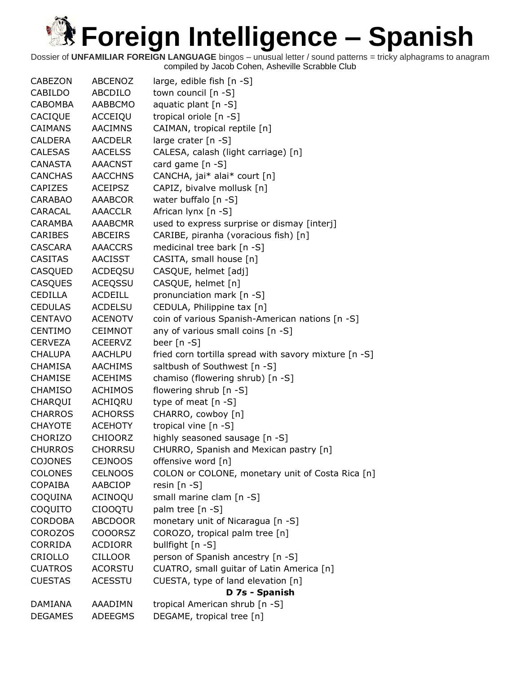| <b>CABEZON</b> | <b>ABCENOZ</b> | large, edible fish [n -S]                             |
|----------------|----------------|-------------------------------------------------------|
| <b>CABILDO</b> | ABCDILO        | town council [n -S]                                   |
| CABOMBA        | AABBCMO        | aquatic plant [n -S]                                  |
| CACIQUE        | ACCEIQU        | tropical oriole [n -S]                                |
| <b>CAIMANS</b> | <b>AACIMNS</b> | CAIMAN, tropical reptile [n]                          |
| <b>CALDERA</b> | <b>AACDELR</b> | large crater [n -S]                                   |
| <b>CALESAS</b> | <b>AACELSS</b> | CALESA, calash (light carriage) [n]                   |
| CANASTA        | <b>AAACNST</b> | card game [n -S]                                      |
| <b>CANCHAS</b> | <b>AACCHNS</b> | CANCHA, jai* alai* court [n]                          |
| <b>CAPIZES</b> | <b>ACEIPSZ</b> | CAPIZ, bivalve mollusk [n]                            |
| CARABAO        | AAABCOR        | water buffalo [n -S]                                  |
| CARACAL        | AAACCLR        | African lynx [n -S]                                   |
| CARAMBA        | AAABCMR        | used to express surprise or dismay [interj]           |
| <b>CARIBES</b> | <b>ABCEIRS</b> | CARIBE, piranha (voracious fish) [n]                  |
| CASCARA        | <b>AAACCRS</b> | medicinal tree bark [n -S]                            |
| <b>CASITAS</b> | AACISST        | CASITA, small house [n]                               |
| CASQUED        | ACDEQSU        | CASQUE, helmet [adj]                                  |
| <b>CASQUES</b> | ACEQSSU        | CASQUE, helmet [n]                                    |
| <b>CEDILLA</b> | <b>ACDEILL</b> | pronunciation mark [n -S]                             |
| <b>CEDULAS</b> | ACDELSU        | CEDULA, Philippine tax [n]                            |
| <b>CENTAVO</b> | <b>ACENOTV</b> | coin of various Spanish-American nations [n -S]       |
| <b>CENTIMO</b> | <b>CEIMNOT</b> | any of various small coins [n -S]                     |
| <b>CERVEZA</b> | <b>ACEERVZ</b> | beer $[n - S]$                                        |
| <b>CHALUPA</b> | <b>AACHLPU</b> | fried corn tortilla spread with savory mixture [n -S] |
| <b>CHAMISA</b> | <b>AACHIMS</b> | saltbush of Southwest [n -S]                          |
| <b>CHAMISE</b> | <b>ACEHIMS</b> | chamiso (flowering shrub) [n -S]                      |
| <b>CHAMISO</b> | <b>ACHIMOS</b> | flowering shrub [n -S]                                |
| CHARQUI        | ACHIQRU        | type of meat $[n - S]$                                |
| <b>CHARROS</b> | <b>ACHORSS</b> | CHARRO, cowboy [n]                                    |
| <b>CHAYOTE</b> | ACEHOTY        | tropical vine [n -S]                                  |
| <b>CHORIZO</b> | <b>CHIOORZ</b> | highly seasoned sausage [n -S]                        |
| <b>CHURROS</b> | <b>CHORRSU</b> | CHURRO, Spanish and Mexican pastry [n]                |
| <b>COJONES</b> | <b>CEJNOOS</b> | offensive word [n]                                    |
| <b>COLONES</b> | <b>CELNOOS</b> | COLON or COLONE, monetary unit of Costa Rica [n]      |
| <b>COPAIBA</b> | AABCIOP        | resin $[n - S]$                                       |
| COQUINA        | ACINOQU        | small marine clam [n -S]                              |
| COQUITO        | <b>CIOOQTU</b> | palm tree [n -S]                                      |
| <b>CORDOBA</b> | <b>ABCDOOR</b> | monetary unit of Nicaragua [n -S]                     |
| <b>COROZOS</b> | <b>COOORSZ</b> | COROZO, tropical palm tree [n]                        |
| <b>CORRIDA</b> | <b>ACDIORR</b> | bullfight [n -S]                                      |
| CRIOLLO        | <b>CILLOOR</b> | person of Spanish ancestry [n -S]                     |
| <b>CUATROS</b> | <b>ACORSTU</b> | CUATRO, small guitar of Latin America [n]             |
| <b>CUESTAS</b> | <b>ACESSTU</b> | CUESTA, type of land elevation [n]                    |
|                |                | D 7s - Spanish                                        |
| <b>DAMIANA</b> | AAADIMN        | tropical American shrub [n -S]                        |
| <b>DEGAMES</b> | <b>ADEEGMS</b> | DEGAME, tropical tree [n]                             |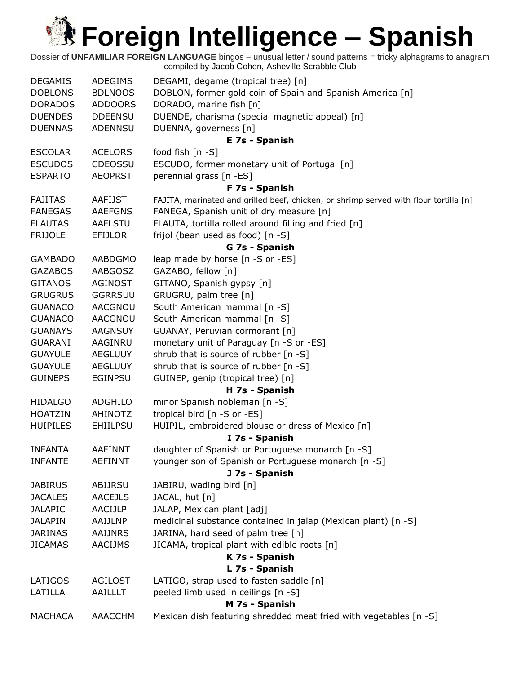Dossier of **UNFAMILIAR FOREIGN LANGUAGE** bingos – unusual letter / sound patterns = tricky alphagrams to anagram compiled by Jacob Cohen, Asheville Scrabble Club DEGAMIS ADEGIMS DEGAMI, degame (tropical tree) [n] DOBLONS BDLNOOS DOBLON, former gold coin of Spain and Spanish America [n] DORADOS ADDOORS DORADO, marine fish [n] DUENDES DDEENSU DUENDE, charisma (special magnetic appeal) [n] DUENNAS ADENNSU DUENNA, governess [n] **E 7s - Spanish** ESCOLAR ACELORS food fish [n -S] ESCUDOS CDEOSSU ESCUDO, former monetary unit of Portugal [n] ESPARTO AEOPRST perennial grass [n -ES] **F 7s - Spanish** FAJITAS AAFIJST FAJITA, marinated and grilled beef, chicken, or shrimp served with flour tortilla [n] FANEGAS AAEFGNS FANEGA, Spanish unit of dry measure [n] FLAUTAS AAFLSTU FLAUTA, tortilla rolled around filling and fried [n] FRIJOLE EFIJLOR frijol (bean used as food) [n -S] **G 7s - Spanish** GAMBADO AABDGMO leap made by horse [n -S or -ES] GAZABOS AABGOSZ GAZABO, fellow [n] GITANOS AGINOST GITANO, Spanish gypsy [n] GRUGRUS GGRRSUU GRUGRU, palm tree [n] GUANACO AACGNOU South American mammal [n -S] GUANACO AACGNOU South American mammal [n -S] GUANAYS AAGNSUY GUANAY, Peruvian cormorant [n] GUARANI AAGINRU monetary unit of Paraguay [n -S or -ES] GUAYULE AEGLUUY shrub that is source of rubber [n -S] GUAYULE AEGLUUY shrub that is source of rubber [n -S] GUINEPS EGINPSU GUINEP, genip (tropical tree) [n] **H 7s - Spanish** HIDALGO ADGHILO minor Spanish nobleman [n -S] HOATZIN AHINOTZ tropical bird [n -S or -ES] HUIPILES EHIILPSU HUIPIL, embroidered blouse or dress of Mexico [n] **I 7s - Spanish** INFANTA AAFINNT daughter of Spanish or Portuguese monarch [n -S] INFANTE AEFINNT younger son of Spanish or Portuguese monarch [n -S] **J 7s - Spanish** JABIRUS ABIJRSU JABIRU, wading bird [n] JACALES AACEJLS JACAL, hut [n] JALAPIC AACIJLP JALAP, Mexican plant [adj] JALAPIN AAIJLNP medicinal substance contained in jalap (Mexican plant) [n -S] JARINAS AAIJNRS JARINA, hard seed of palm tree [n] JICAMAS AACIJMS JICAMA, tropical plant with edible roots [n] **K 7s - Spanish L 7s - Spanish** LATIGOS AGILOST LATIGO, strap used to fasten saddle [n] LATILLA AAILLLT peeled limb used in ceilings [n -S] **M 7s - Spanish** MACHACA AAACCHM Mexican dish featuring shredded meat fried with vegetables [n -S]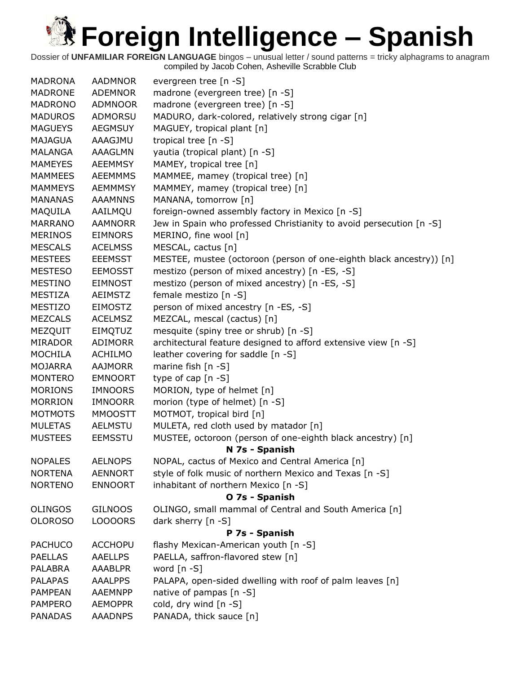| <b>MADRONA</b> | <b>AADMNOR</b> | evergreen tree [n -S]                                               |
|----------------|----------------|---------------------------------------------------------------------|
| <b>MADRONE</b> | <b>ADEMNOR</b> | madrone (evergreen tree) [n -S]                                     |
| <b>MADRONO</b> | ADMNOOR        | madrone (evergreen tree) [n -S]                                     |
| <b>MADUROS</b> | ADMORSU        | MADURO, dark-colored, relatively strong cigar [n]                   |
| <b>MAGUEYS</b> | <b>AEGMSUY</b> | MAGUEY, tropical plant [n]                                          |
| <b>MAJAGUA</b> | AAAGJMU        | tropical tree [n -S]                                                |
| <b>MALANGA</b> | AAAGLMN        | yautia (tropical plant) [n -S]                                      |
| <b>MAMEYES</b> | <b>AEEMMSY</b> | MAMEY, tropical tree [n]                                            |
| <b>MAMMEES</b> | <b>AEEMMMS</b> | MAMMEE, mamey (tropical tree) [n]                                   |
| <b>MAMMEYS</b> | <b>AEMMMSY</b> | MAMMEY, mamey (tropical tree) [n]                                   |
| <b>MANANAS</b> | <b>AAAMNNS</b> | MANANA, tomorrow [n]                                                |
| MAQUILA        | AAILMQU        | foreign-owned assembly factory in Mexico [n -S]                     |
| <b>MARRANO</b> | <b>AAMNORR</b> | Jew in Spain who professed Christianity to avoid persecution [n -S] |
| <b>MERINOS</b> | <b>EIMNORS</b> | MERINO, fine wool [n]                                               |
| <b>MESCALS</b> | <b>ACELMSS</b> | MESCAL, cactus [n]                                                  |
| <b>MESTEES</b> | <b>EEEMSST</b> | MESTEE, mustee (octoroon (person of one-eighth black ancestry)) [n] |
| <b>MESTESO</b> | <b>EEMOSST</b> | mestizo (person of mixed ancestry) [n -ES, -S]                      |
| <b>MESTINO</b> | <b>EIMNOST</b> | mestizo (person of mixed ancestry) [n -ES, -S]                      |
| <b>MESTIZA</b> | <b>AEIMSTZ</b> | female mestizo [n -S]                                               |
| <b>MESTIZO</b> | <b>EIMOSTZ</b> | person of mixed ancestry [n -ES, -S]                                |
| <b>MEZCALS</b> | <b>ACELMSZ</b> | MEZCAL, mescal (cactus) [n]                                         |
| MEZQUIT        | <b>EIMQTUZ</b> | mesquite (spiny tree or shrub) [n -S]                               |
| <b>MIRADOR</b> | ADIMORR        | architectural feature designed to afford extensive view [n -S]      |
| <b>MOCHILA</b> | <b>ACHILMO</b> | leather covering for saddle [n -S]                                  |
| <b>MOJARRA</b> | <b>AAJMORR</b> | marine fish [n -S]                                                  |
| <b>MONTERO</b> | <b>EMNOORT</b> | type of cap [n -S]                                                  |
| <b>MORIONS</b> | <b>IMNOORS</b> | MORION, type of helmet [n]                                          |
| <b>MORRION</b> | <b>IMNOORR</b> | morion (type of helmet) [n -S]                                      |
| <b>MOTMOTS</b> | <b>MMOOSTT</b> | MOTMOT, tropical bird [n]                                           |
| <b>MULETAS</b> | <b>AELMSTU</b> | MULETA, red cloth used by matador [n]                               |
| <b>MUSTEES</b> | <b>EEMSSTU</b> | MUSTEE, octoroon (person of one-eighth black ancestry) [n]          |
|                |                | N 7s - Spanish                                                      |
| <b>NOPALES</b> | <b>AELNOPS</b> | NOPAL, cactus of Mexico and Central America [n]                     |
| <b>NORTENA</b> | <b>AENNORT</b> | style of folk music of northern Mexico and Texas [n -S]             |
| <b>NORTENO</b> | <b>ENNOORT</b> | inhabitant of northern Mexico [n -S]                                |
|                |                | O 7s - Spanish                                                      |
| <b>OLINGOS</b> | <b>GILNOOS</b> | OLINGO, small mammal of Central and South America [n]               |
| <b>OLOROSO</b> | LOOOORS        | dark sherry $[n - S]$                                               |
|                |                | P 7s - Spanish                                                      |
| <b>PACHUCO</b> | <b>ACCHOPU</b> | flashy Mexican-American youth [n -S]                                |
| <b>PAELLAS</b> | <b>AAELLPS</b> | PAELLA, saffron-flavored stew [n]                                   |
| <b>PALABRA</b> | <b>AAABLPR</b> | word $[n - S]$                                                      |
| <b>PALAPAS</b> | <b>AAALPPS</b> | PALAPA, open-sided dwelling with roof of palm leaves [n]            |
| <b>PAMPEAN</b> | <b>AAEMNPP</b> | native of pampas [n -S]                                             |
| <b>PAMPERO</b> | <b>AEMOPPR</b> | cold, dry wind [n -S]                                               |
| <b>PANADAS</b> | <b>AAADNPS</b> | PANADA, thick sauce [n]                                             |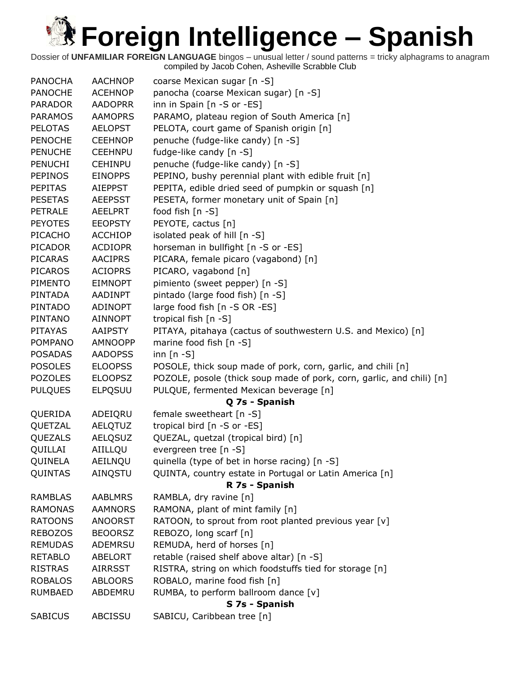| <b>PANOCHA</b> | <b>AACHNOP</b> | coarse Mexican sugar [n -S]                                               |  |  |
|----------------|----------------|---------------------------------------------------------------------------|--|--|
| <b>PANOCHE</b> | <b>ACEHNOP</b> | panocha (coarse Mexican sugar) [n -S]                                     |  |  |
| <b>PARADOR</b> | <b>AADOPRR</b> | inn in Spain [n -S or -ES]                                                |  |  |
| <b>PARAMOS</b> | <b>AAMOPRS</b> | PARAMO, plateau region of South America [n]                               |  |  |
| <b>PELOTAS</b> | <b>AELOPST</b> | PELOTA, court game of Spanish origin [n]                                  |  |  |
| <b>PENOCHE</b> | <b>CEEHNOP</b> | penuche (fudge-like candy) [n -S]                                         |  |  |
| <b>PENUCHE</b> | <b>CEEHNPU</b> | fudge-like candy [n -S]                                                   |  |  |
| <b>PENUCHI</b> | <b>CEHINPU</b> | penuche (fudge-like candy) [n -S]                                         |  |  |
| <b>PEPINOS</b> | <b>EINOPPS</b> | PEPINO, bushy perennial plant with edible fruit [n]                       |  |  |
| <b>PEPITAS</b> | <b>AIEPPST</b> | PEPITA, edible dried seed of pumpkin or squash [n]                        |  |  |
| <b>PESETAS</b> | <b>AEEPSST</b> | PESETA, former monetary unit of Spain [n]                                 |  |  |
| <b>PETRALE</b> | <b>AEELPRT</b> | food fish [n -S]                                                          |  |  |
| <b>PEYOTES</b> | <b>EEOPSTY</b> | PEYOTE, cactus [n]                                                        |  |  |
| PICACHO        | <b>ACCHIOP</b> | isolated peak of hill [n -S]                                              |  |  |
| <b>PICADOR</b> | <b>ACDIOPR</b> | horseman in bullfight [n -S or -ES]                                       |  |  |
| <b>PICARAS</b> | <b>AACIPRS</b> | PICARA, female picaro (vagabond) [n]                                      |  |  |
| <b>PICAROS</b> | <b>ACIOPRS</b> | PICARO, vagabond [n]                                                      |  |  |
| PIMENTO        | <b>EIMNOPT</b> | pimiento (sweet pepper) [n -S]                                            |  |  |
| <b>PINTADA</b> | <b>AADINPT</b> | pintado (large food fish) [n -S]                                          |  |  |
| <b>PINTADO</b> | <b>ADINOPT</b> | large food fish [n -S OR -ES]                                             |  |  |
| PINTANO        | <b>AINNOPT</b> | tropical fish [n -S]                                                      |  |  |
| <b>PITAYAS</b> | <b>AAIPSTY</b> | PITAYA, pitahaya (cactus of southwestern U.S. and Mexico) [n]             |  |  |
| <b>POMPANO</b> | <b>AMNOOPP</b> | marine food fish [n -S]                                                   |  |  |
| <b>POSADAS</b> | <b>AADOPSS</b> | inn $[n - S]$                                                             |  |  |
| <b>POSOLES</b> | <b>ELOOPSS</b> | POSOLE, thick soup made of pork, corn, garlic, and chili [n]              |  |  |
| <b>POZOLES</b> | <b>ELOOPSZ</b> | POZOLE, posole (thick soup made of pork, corn, garlic, and chili) [n]     |  |  |
| <b>PULQUES</b> | <b>ELPQSUU</b> | PULQUE, fermented Mexican beverage [n]                                    |  |  |
| Q 7s - Spanish |                |                                                                           |  |  |
| QUERIDA        | ADEIQRU        | female sweetheart [n -S]                                                  |  |  |
| QUETZAL        | <b>AELQTUZ</b> | tropical bird [n -S or -ES]                                               |  |  |
| QUEZALS        | <b>AELQSUZ</b> | QUEZAL, quetzal (tropical bird) [n]                                       |  |  |
| QUILLAI        | AIILLQU        | evergreen tree [n -S]                                                     |  |  |
| QUINELA        | AEILNQU        | quinella (type of bet in horse racing) [n -S]                             |  |  |
|                | AINQSTU        |                                                                           |  |  |
| QUINTAS        |                | QUINTA, country estate in Portugal or Latin America [n]<br>R 7s - Spanish |  |  |
| <b>RAMBLAS</b> | <b>AABLMRS</b> |                                                                           |  |  |
|                |                | RAMBLA, dry ravine [n]                                                    |  |  |
| <b>RAMONAS</b> | <b>AAMNORS</b> | RAMONA, plant of mint family [n]                                          |  |  |
| <b>RATOONS</b> | <b>ANOORST</b> | RATOON, to sprout from root planted previous year [v]                     |  |  |
| <b>REBOZOS</b> | <b>BEOORSZ</b> | REBOZO, long scarf [n]                                                    |  |  |
| <b>REMUDAS</b> | ADEMRSU        | REMUDA, herd of horses [n]                                                |  |  |
| <b>RETABLO</b> | ABELORT        | retable (raised shelf above altar) [n -S]                                 |  |  |
| <b>RISTRAS</b> | <b>AIRRSST</b> | RISTRA, string on which foodstuffs tied for storage [n]                   |  |  |
| <b>ROBALOS</b> | ABLOORS        | ROBALO, marine food fish [n]                                              |  |  |
| <b>RUMBAED</b> | ABDEMRU        | RUMBA, to perform ballroom dance [v]                                      |  |  |
|                |                | S 7s - Spanish                                                            |  |  |
| <b>SABICUS</b> | ABCISSU        | SABICU, Caribbean tree [n]                                                |  |  |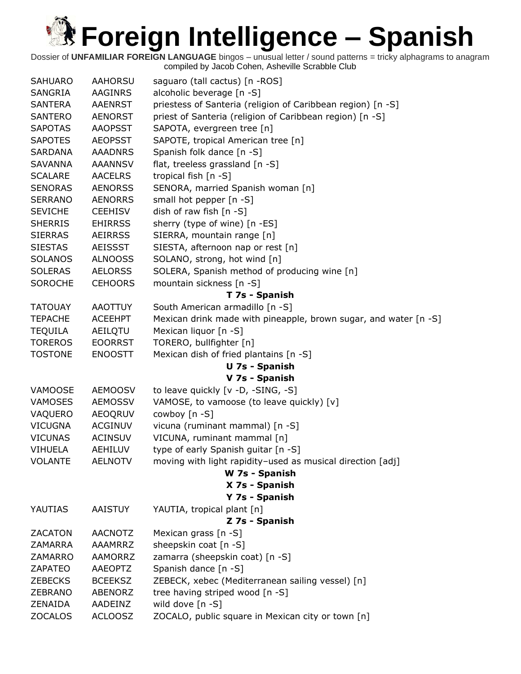| <b>SAHUARO</b> | <b>AAHORSU</b> | saguaro (tall cactus) [n -ROS]                                   |  |
|----------------|----------------|------------------------------------------------------------------|--|
| <b>SANGRIA</b> | <b>AAGINRS</b> | alcoholic beverage [n -S]                                        |  |
| <b>SANTERA</b> | <b>AAENRST</b> | priestess of Santeria (religion of Caribbean region) [n -S]      |  |
| <b>SANTERO</b> | <b>AENORST</b> | priest of Santeria (religion of Caribbean region) [n -S]         |  |
| <b>SAPOTAS</b> | <b>AAOPSST</b> | SAPOTA, evergreen tree [n]                                       |  |
| <b>SAPOTES</b> | <b>AEOPSST</b> | SAPOTE, tropical American tree [n]                               |  |
| <b>SARDANA</b> | <b>AAADNRS</b> | Spanish folk dance [n -S]                                        |  |
| <b>SAVANNA</b> | <b>AAANNSV</b> | flat, treeless grassland [n -S]                                  |  |
| <b>SCALARE</b> | <b>AACELRS</b> | tropical fish [n -S]                                             |  |
| <b>SENORAS</b> | <b>AENORSS</b> | SENORA, married Spanish woman [n]                                |  |
| <b>SERRANO</b> | <b>AENORRS</b> | small hot pepper [n -S]                                          |  |
| <b>SEVICHE</b> | <b>CEEHISV</b> | dish of raw fish [n -S]                                          |  |
| <b>SHERRIS</b> | <b>EHIRRSS</b> | sherry (type of wine) [n -ES]                                    |  |
| <b>SIERRAS</b> | <b>AEIRRSS</b> | SIERRA, mountain range [n]                                       |  |
| <b>SIESTAS</b> | AEISSST        | SIESTA, afternoon nap or rest [n]                                |  |
| <b>SOLANOS</b> | <b>ALNOOSS</b> | SOLANO, strong, hot wind [n]                                     |  |
| <b>SOLERAS</b> | <b>AELORSS</b> | SOLERA, Spanish method of producing wine [n]                     |  |
| <b>SOROCHE</b> | <b>CEHOORS</b> | mountain sickness [n -S]                                         |  |
|                |                | T 7s - Spanish                                                   |  |
| <b>TATOUAY</b> | <b>AAOTTUY</b> | South American armadillo [n -S]                                  |  |
| <b>TEPACHE</b> | <b>ACEEHPT</b> | Mexican drink made with pineapple, brown sugar, and water [n -S] |  |
| <b>TEQUILA</b> | AEILQTU        | Mexican liquor [n -S]                                            |  |
| <b>TOREROS</b> | <b>EOORRST</b> | TORERO, bullfighter [n]                                          |  |
| <b>TOSTONE</b> | <b>ENOOSTT</b> | Mexican dish of fried plantains [n -S]                           |  |
|                |                | U 7s - Spanish                                                   |  |
|                |                | V 7s - Spanish                                                   |  |
| VAMOOSE        | <b>AEMOOSV</b> | to leave quickly [v -D, -SING, -S]                               |  |
| <b>VAMOSES</b> | <b>AEMOSSV</b> | VAMOSE, to vamoose (to leave quickly) [v]                        |  |
| VAQUERO        | <b>AEOQRUV</b> | cowboy [n -S]                                                    |  |
| <b>VICUGNA</b> | <b>ACGINUV</b> | vicuna (ruminant mammal) [n -S]                                  |  |
| <b>VICUNAS</b> | <b>ACINSUV</b> | VICUNA, ruminant mammal [n]                                      |  |
| <b>VIHUELA</b> | AEHILUV        | type of early Spanish guitar [n -S]                              |  |
| <b>VOLANTE</b> | <b>AELNOTV</b> | moving with light rapidity-used as musical direction [adj]       |  |
|                |                | W 7s - Spanish                                                   |  |
|                |                | X 7s - Spanish                                                   |  |
|                |                | Y 7s - Spanish                                                   |  |
| YAUTIAS        | <b>AAISTUY</b> | YAUTIA, tropical plant [n]                                       |  |
|                |                | Z 7s - Spanish                                                   |  |
| <b>ZACATON</b> | <b>AACNOTZ</b> | Mexican grass [n -S]                                             |  |
| <b>ZAMARRA</b> | <b>AAAMRRZ</b> | sheepskin coat [n -S]                                            |  |
| ZAMARRO        | <b>AAMORRZ</b> | zamarra (sheepskin coat) [n -S]                                  |  |
| <b>ZAPATEO</b> | <b>AAEOPTZ</b> | Spanish dance [n -S]                                             |  |
| <b>ZEBECKS</b> | <b>BCEEKSZ</b> | ZEBECK, xebec (Mediterranean sailing vessel) [n]                 |  |
| <b>ZEBRANO</b> | ABENORZ        | tree having striped wood [n -S]                                  |  |
| ZENAIDA        | AADEINZ        | wild dove [n -S]                                                 |  |
| <b>ZOCALOS</b> | <b>ACLOOSZ</b> | ZOCALO, public square in Mexican city or town [n]                |  |
|                |                |                                                                  |  |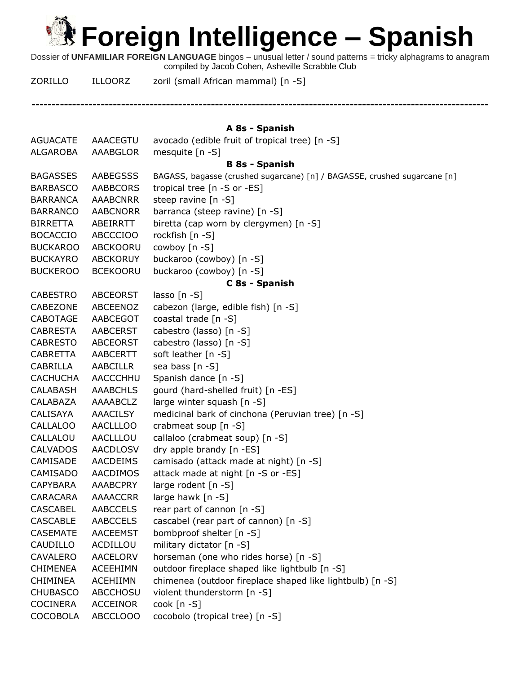Dossier of **UNFAMILIAR FOREIGN LANGUAGE** bingos – unusual letter / sound patterns = tricky alphagrams to anagram compiled by Jacob Cohen, Asheville Scrabble Club

**----------------------------------------------------------------------------------------------------------------**

ZORILLO ILLOORZ zoril (small African mammal) [n -S]

| A 8s - Spanish  |                 |                                                                          |  |
|-----------------|-----------------|--------------------------------------------------------------------------|--|
| <b>AGUACATE</b> | <b>AAACEGTU</b> | avocado (edible fruit of tropical tree) [n -S]                           |  |
| ALGAROBA        | <b>AAABGLOR</b> | mesquite [n -S]                                                          |  |
|                 |                 | <b>B 8s - Spanish</b>                                                    |  |
| <b>BAGASSES</b> | <b>AABEGSSS</b> | BAGASS, bagasse (crushed sugarcane) [n] / BAGASSE, crushed sugarcane [n] |  |
| <b>BARBASCO</b> | <b>AABBCORS</b> | tropical tree [n -S or -ES]                                              |  |
| <b>BARRANCA</b> | <b>AAABCNRR</b> | steep ravine [n -S]                                                      |  |
| <b>BARRANCO</b> | <b>AABCNORR</b> | barranca (steep ravine) [n -S]                                           |  |
| <b>BIRRETTA</b> | ABEIRRTT        | biretta (cap worn by clergymen) [n -S]                                   |  |
| <b>BOCACCIO</b> | <b>ABCCCIOO</b> | rockfish [n -S]                                                          |  |
| <b>BUCKAROO</b> | ABCKOORU        | cowboy [n -S]                                                            |  |
| <b>BUCKAYRO</b> | <b>ABCKORUY</b> | buckaroo (cowboy) [n -S]                                                 |  |
| <b>BUCKEROO</b> | <b>BCEKOORU</b> | buckaroo (cowboy) [n -S]                                                 |  |
|                 |                 | C 8s - Spanish                                                           |  |
| <b>CABESTRO</b> | <b>ABCEORST</b> | lasso $[n - S]$                                                          |  |
| CABEZONE        | ABCEENOZ        | cabezon (large, edible fish) [n -S]                                      |  |
| CABOTAGE        | AABCEGOT        | coastal trade [n -S]                                                     |  |
| <b>CABRESTA</b> | AABCERST        | cabestro (lasso) [n -S]                                                  |  |
| <b>CABRESTO</b> | <b>ABCEORST</b> | cabestro (lasso) [n -S]                                                  |  |
| <b>CABRETTA</b> | AABCERTT        | soft leather [n -S]                                                      |  |
| CABRILLA        | AABCILLR        | sea bass [n -S]                                                          |  |
| <b>CACHUCHA</b> | AACCCHHU        | Spanish dance [n -S]                                                     |  |
| CALABASH        | <b>AAABCHLS</b> | gourd (hard-shelled fruit) [n -ES]                                       |  |
| CALABAZA        | AAAABCLZ        | large winter squash [n -S]                                               |  |
| CALISAYA        | AAACILSY        | medicinal bark of cinchona (Peruvian tree) [n -S]                        |  |
| <b>CALLALOO</b> | <b>AACLLLOO</b> | crabmeat soup [n -S]                                                     |  |
| CALLALOU        | AACLLLOU        | callaloo (crabmeat soup) [n -S]                                          |  |
| <b>CALVADOS</b> | <b>AACDLOSV</b> | dry apple brandy [n -ES]                                                 |  |
| CAMISADE        | <b>AACDEIMS</b> | camisado (attack made at night) [n -S]                                   |  |
| <b>CAMISADO</b> | AACDIMOS        | attack made at night [n -S or -ES]                                       |  |
| <b>CAPYBARA</b> | <b>AAABCPRY</b> | large rodent [n -S]                                                      |  |
| CARACARA        | <b>AAAACCRR</b> | large hawk $[n - S]$                                                     |  |
| <b>CASCABEL</b> | <b>AABCCELS</b> | rear part of cannon [n -S]                                               |  |
| <b>CASCABLE</b> | <b>AABCCELS</b> | cascabel (rear part of cannon) [n -S]                                    |  |
| <b>CASEMATE</b> | <b>AACEEMST</b> | bombproof shelter [n -S]                                                 |  |
| CAUDILLO        | ACDILLOU        | military dictator [n -S]                                                 |  |
| <b>CAVALERO</b> | <b>AACELORV</b> | horseman (one who rides horse) [n -S]                                    |  |
| <b>CHIMENEA</b> | <b>ACEEHIMN</b> | outdoor fireplace shaped like lightbulb [n -S]                           |  |
| <b>CHIMINEA</b> | ACEHIIMN        | chimenea (outdoor fireplace shaped like lightbulb) [n -S]                |  |
| <b>CHUBASCO</b> | <b>ABCCHOSU</b> | violent thunderstorm [n -S]                                              |  |
| <b>COCINERA</b> | <b>ACCEINOR</b> | $\cosh[n-S]$                                                             |  |
| <b>COCOBOLA</b> | ABCCLOOO        | cocobolo (tropical tree) [n -S]                                          |  |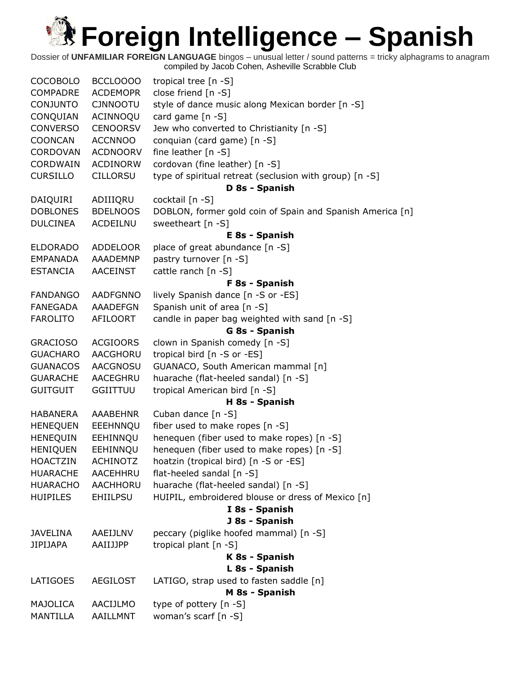| <b>COCOBOLO</b> | BCCLOOOO        | tropical tree [n -S]                                      |  |
|-----------------|-----------------|-----------------------------------------------------------|--|
| <b>COMPADRE</b> | <b>ACDEMOPR</b> | close friend [n -S]                                       |  |
| <b>CONJUNTO</b> | <b>CJNNOOTU</b> | style of dance music along Mexican border [n -S]          |  |
| CONQUIAN        | ACINNOQU        | card game [n -S]                                          |  |
| <b>CONVERSO</b> | <b>CENOORSV</b> | Jew who converted to Christianity [n -S]                  |  |
| <b>COONCAN</b>  | <b>ACCNNOO</b>  | conquian (card game) [n -S]                               |  |
| CORDOVAN        | <b>ACDNOORV</b> | fine leather $[n -S]$                                     |  |
| <b>CORDWAIN</b> | <b>ACDINORW</b> | cordovan (fine leather) [n -S]                            |  |
| <b>CURSILLO</b> | <b>CILLORSU</b> | type of spiritual retreat (seclusion with group) [n -S]   |  |
|                 |                 | D 8s - Spanish                                            |  |
| DAIQUIRI        | ADIIIQRU        | cocktail [n -S]                                           |  |
| <b>DOBLONES</b> | <b>BDELNOOS</b> | DOBLON, former gold coin of Spain and Spanish America [n] |  |
| <b>DULCINEA</b> | ACDEILNU        | sweetheart [n -S]                                         |  |
|                 |                 | E 8s - Spanish                                            |  |
| <b>ELDORADO</b> | <b>ADDELOOR</b> | place of great abundance [n -S]                           |  |
| <b>EMPANADA</b> | AAADEMNP        | pastry turnover [n -S]                                    |  |
| <b>ESTANCIA</b> | <b>AACEINST</b> | cattle ranch [n -S]                                       |  |
|                 |                 | F 8s - Spanish                                            |  |
| <b>FANDANGO</b> | <b>AADFGNNO</b> | lively Spanish dance [n -S or -ES]                        |  |
| FANEGADA        | <b>AAADEFGN</b> | Spanish unit of area [n -S]                               |  |
| <b>FAROLITO</b> | AFILOORT        | candle in paper bag weighted with sand [n -S]             |  |
|                 |                 | G 8s - Spanish                                            |  |
| <b>GRACIOSO</b> | <b>ACGIOORS</b> | clown in Spanish comedy [n -S]                            |  |
| <b>GUACHARO</b> | <b>AACGHORU</b> | tropical bird [n -S or -ES]                               |  |
| <b>GUANACOS</b> | <b>AACGNOSU</b> | GUANACO, South American mammal [n]                        |  |
| <b>GUARACHE</b> | AACEGHRU        | huarache (flat-heeled sandal) [n -S]                      |  |
| <b>GUITGUIT</b> | GGIITTUU        | tropical American bird [n -S]                             |  |
|                 |                 | H 8s - Spanish                                            |  |
| <b>HABANERA</b> | <b>AAABEHNR</b> | Cuban dance [n -S]                                        |  |
| <b>HENEQUEN</b> | EEEHNNQU        | fiber used to make ropes [n -S]                           |  |
| <b>HENEQUIN</b> | EEHINNQU        | henequen (fiber used to make ropes) [n -S]                |  |
| <b>HENIQUEN</b> | EEHINNQU        | henequen (fiber used to make ropes) [n -S]                |  |
| <b>HOACTZIN</b> | <b>ACHINOTZ</b> | hoatzin (tropical bird) [n -S or -ES]                     |  |
| <b>HUARACHE</b> | AACEHHRU        | flat-heeled sandal [n -S]                                 |  |
| <b>HUARACHO</b> | AACHHORU        | huarache (flat-heeled sandal) [n -S]                      |  |
| <b>HUIPILES</b> | <b>EHIILPSU</b> | HUIPIL, embroidered blouse or dress of Mexico [n]         |  |
|                 |                 | I 8s - Spanish                                            |  |
|                 |                 | J 8s - Spanish                                            |  |
| <b>JAVELINA</b> | AAEIJLNV        | peccary (piglike hoofed mammal) [n -S]                    |  |
| <b>JIPIJAPA</b> | AAIIJJPP        | tropical plant [n -S]                                     |  |
|                 |                 | K 8s - Spanish                                            |  |
|                 |                 | L 8s - Spanish                                            |  |
| LATIGOES        | <b>AEGILOST</b> | LATIGO, strap used to fasten saddle [n]                   |  |
|                 |                 | M 8s - Spanish                                            |  |
| <b>MAJOLICA</b> | AACIJLMO        | type of pottery [n -S]                                    |  |
| <b>MANTILLA</b> | AAILLMNT        | woman's scarf [n -S]                                      |  |
|                 |                 |                                                           |  |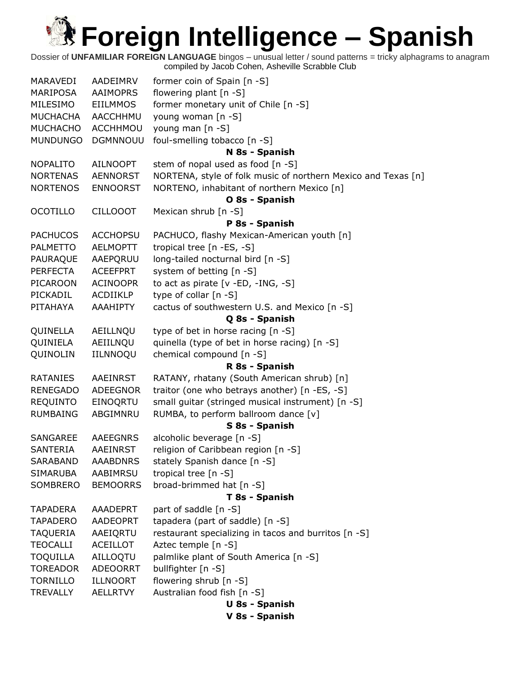| MARAVEDI        | AADEIMRV        | former coin of Spain [n -S]                                   |  |  |
|-----------------|-----------------|---------------------------------------------------------------|--|--|
| <b>MARIPOSA</b> | <b>AAIMOPRS</b> | flowering plant [n -S]                                        |  |  |
| MILESIMO        | EIILMMOS        | former monetary unit of Chile [n -S]                          |  |  |
| <b>MUCHACHA</b> | AACCHHMU        | young woman [n -S]                                            |  |  |
| <b>MUCHACHO</b> | <b>ACCHHMOU</b> | young man [n -S]                                              |  |  |
| <b>MUNDUNGO</b> | <b>DGMNNOUU</b> | foul-smelling tobacco [n -S]                                  |  |  |
|                 |                 | N 8s - Spanish                                                |  |  |
| <b>NOPALITO</b> | AILNOOPT        | stem of nopal used as food [n -S]                             |  |  |
| <b>NORTENAS</b> | <b>AENNORST</b> | NORTENA, style of folk music of northern Mexico and Texas [n] |  |  |
| <b>NORTENOS</b> | <b>ENNOORST</b> | NORTENO, inhabitant of northern Mexico [n]                    |  |  |
|                 |                 | O 8s - Spanish                                                |  |  |
| <b>OCOTILLO</b> | <b>CILLOOOT</b> | Mexican shrub [n -S]                                          |  |  |
|                 |                 | P 8s - Spanish                                                |  |  |
| <b>PACHUCOS</b> | <b>ACCHOPSU</b> | PACHUCO, flashy Mexican-American youth [n]                    |  |  |
| <b>PALMETTO</b> | <b>AELMOPTT</b> | tropical tree [n -ES, -S]                                     |  |  |
| PAURAQUE        | AAEPQRUU        | long-tailed nocturnal bird [n -S]                             |  |  |
| <b>PERFECTA</b> | <b>ACEEFPRT</b> | system of betting [n -S]                                      |  |  |
| <b>PICAROON</b> | <b>ACINOOPR</b> | to act as pirate [v -ED, -ING, -S]                            |  |  |
| PICKADIL        | ACDIIKLP        | type of collar [n -S]                                         |  |  |
| PITAHAYA        | AAAHIPTY        | cactus of southwestern U.S. and Mexico [n -S]                 |  |  |
|                 |                 | Q 8s - Spanish                                                |  |  |
| QUINELLA        | AEILLNQU        | type of bet in horse racing [n -S]                            |  |  |
| QUINIELA        | AEIILNQU        | quinella (type of bet in horse racing) [n -S]                 |  |  |
| QUINOLIN        | IILNNOQU        | chemical compound [n -S]                                      |  |  |
|                 |                 | R 8s - Spanish                                                |  |  |
| <b>RATANIES</b> | <b>AAEINRST</b> | RATANY, rhatany (South American shrub) [n]                    |  |  |
| <b>RENEGADO</b> | <b>ADEEGNOR</b> | traitor (one who betrays another) [n -ES, -S]                 |  |  |
| <b>REQUINTO</b> | EINOQRTU        | small guitar (stringed musical instrument) [n -S]             |  |  |
| <b>RUMBAING</b> | ABGIMNRU        | RUMBA, to perform ballroom dance [v]                          |  |  |
|                 |                 | S 8s - Spanish                                                |  |  |
| <b>SANGAREE</b> | <b>AAEEGNRS</b> | alcoholic beverage [n -S]                                     |  |  |
| <b>SANTERIA</b> | AAEINRST        | religion of Caribbean region [n -S]                           |  |  |
| <b>SARABAND</b> | <b>AAABDNRS</b> | stately Spanish dance [n -S]                                  |  |  |
| <b>SIMARUBA</b> | AABIMRSU        | tropical tree [n -S]                                          |  |  |
| <b>SOMBRERO</b> | <b>BEMOORRS</b> | broad-brimmed hat [n -S]                                      |  |  |
|                 |                 | T 8s - Spanish                                                |  |  |
| <b>TAPADERA</b> | <b>AAADEPRT</b> | part of saddle [n -S]                                         |  |  |
| <b>TAPADERO</b> | <b>AADEOPRT</b> | tapadera (part of saddle) [n -S]                              |  |  |
| <b>TAQUERIA</b> | AAEIQRTU        | restaurant specializing in tacos and burritos [n -S]          |  |  |
| <b>TEOCALLI</b> | <b>ACEILLOT</b> | Aztec temple [n -S]                                           |  |  |
| <b>TOQUILLA</b> | AILLOQTU        | palmlike plant of South America [n -S]                        |  |  |
| <b>TOREADOR</b> | <b>ADEOORRT</b> | bullfighter [n -S]                                            |  |  |
| <b>TORNILLO</b> | ILLNOORT        | flowering shrub [n -S]                                        |  |  |
| <b>TREVALLY</b> | AELLRTVY        | Australian food fish [n -S]                                   |  |  |
|                 |                 | <b>U 8s - Spanish</b>                                         |  |  |
|                 |                 | V 8s - Spanish                                                |  |  |